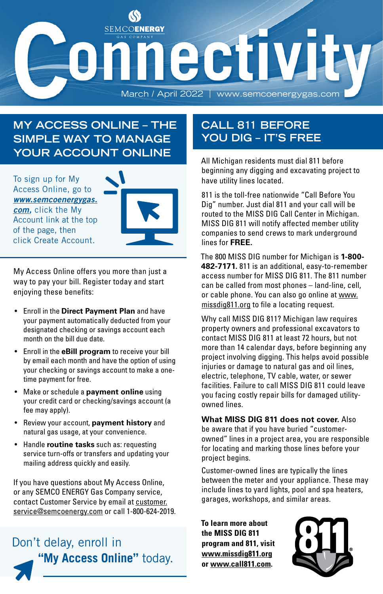

### **MY ACCESS ONLINE – THE SIMPLE WAY TO MANAGE YOUR ACCOUNT ONLINE**

To sign up for My Access Online, go to *www.semcoenergygas. com,* click the My Account link at the top of the page, then click Create Account.

My Access Online offers you more than just a way to pay your bill. Register today and start enjoying these benefits:

- Enroll in the **Direct Payment Plan** and have your payment automatically deducted from your designated checking or savings account each month on the bill due date.
- Enroll in the **eBill program** to receive your bill by email each month and have the option of using your checking or savings account to make a onetime payment for free.
- Make or schedule a **payment online** using your credit card or checking/savings account (a fee may apply).
- Review your account, **payment history** and natural gas usage, at your convenience.
- Handle **routine tasks** such as: requesting service turn-offs or transfers and updating your mailing address quickly and easily.

If you have questions about My Access Online, or any SEMCO ENERGY Gas Company service, contact Customer Service by email at customer. service@semcoenergy.com or call 1-800-624-2019.

# Don't delay, enroll in **"My Access Online"** today.

### **CALL 811 BEFORE YOU DIG – IT'S FREE**

All Michigan residents must dial 811 before beginning any digging and excavating project to have utility lines located.

811 is the toll-free nationwide "Call Before You Dig" number. Just dial 811 and your call will be routed to the MISS DIG Call Center in Michigan. MISS DIG 811 will notify affected member utility companies to send crews to mark underground lines for **FREE.**

The 800 MISS DIG number for Michigan is **1-800- 482-7171.** 811 is an additional, easy-to-remember access number for MISS DIG 811. The 811 number can be called from most phones – land-line, cell, or cable phone. You can also go online at www. missdig811.org to file a locating request.

Why call MISS DIG 811? Michigan law requires property owners and professional excavators to contact MISS DIG 811 at least 72 hours, but not more than 14 calendar days, before beginning any project involving digging. This helps avoid possible injuries or damage to natural gas and oil lines, electric, telephone, TV cable, water, or sewer facilities. Failure to call MISS DIG 811 could leave you facing costly repair bills for damaged utilityowned lines.

**What MISS DIG 811 does not cover.** Also be aware that if you have buried "customerowned" lines in a project area, you are responsible for locating and marking those lines before your project begins.

Customer-owned lines are typically the lines between the meter and your appliance. These may include lines to yard lights, pool and spa heaters, garages, workshops, and similar areas.

**To learn more about the MISS DIG 811 program and 811, visit www.missdig811.org or www.call811.com.**